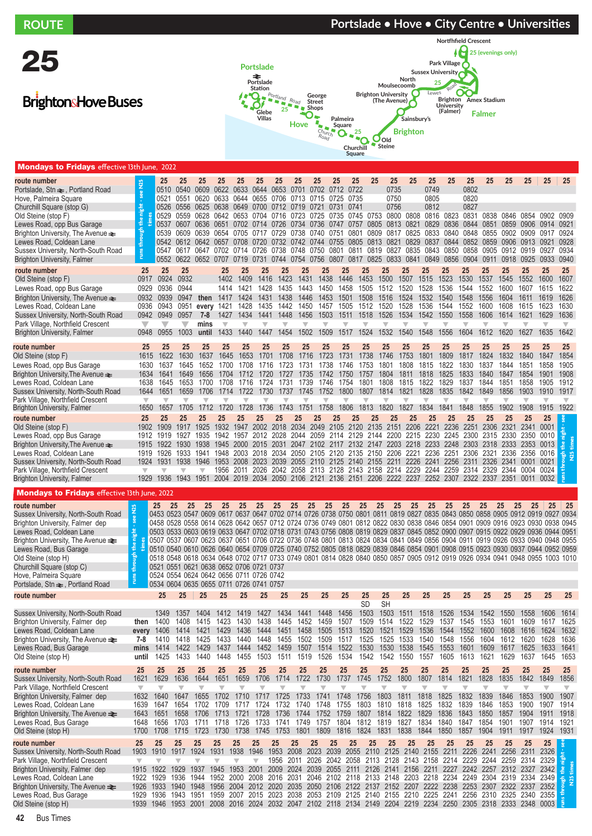| <b>ROUTE</b>                                                             |                                 |                                                                                                                                                                                                                                                              |                               |                                 |                                 |                                 |                                        |                                       |                          |                                                                                                                                                                                                                      |                                 |                                  |                                     | Portslade • Hove • City Centre • Universities |                                 |                         |                                 |                                  |                                 |                                 |                         |                                 |
|--------------------------------------------------------------------------|---------------------------------|--------------------------------------------------------------------------------------------------------------------------------------------------------------------------------------------------------------------------------------------------------------|-------------------------------|---------------------------------|---------------------------------|---------------------------------|----------------------------------------|---------------------------------------|--------------------------|----------------------------------------------------------------------------------------------------------------------------------------------------------------------------------------------------------------------|---------------------------------|----------------------------------|-------------------------------------|-----------------------------------------------|---------------------------------|-------------------------|---------------------------------|----------------------------------|---------------------------------|---------------------------------|-------------------------|---------------------------------|
|                                                                          |                                 |                                                                                                                                                                                                                                                              |                               |                                 |                                 |                                 |                                        |                                       |                          |                                                                                                                                                                                                                      |                                 |                                  |                                     |                                               |                                 |                         | <b>Nortfhfield Crescent</b>     |                                  |                                 |                                 |                         |                                 |
| 25                                                                       |                                 |                                                                                                                                                                                                                                                              |                               |                                 |                                 |                                 |                                        |                                       |                          |                                                                                                                                                                                                                      |                                 |                                  |                                     |                                               |                                 |                         | F                               | 25 (evenings only)               |                                 |                                 |                         |                                 |
|                                                                          |                                 |                                                                                                                                                                                                                                                              |                               |                                 |                                 |                                 | Portslade                              |                                       |                          |                                                                                                                                                                                                                      |                                 |                                  |                                     |                                               | <b>Sussex University</b>        | Park Village            |                                 |                                  |                                 |                                 |                         |                                 |
|                                                                          |                                 |                                                                                                                                                                                                                                                              |                               |                                 |                                 |                                 | ≉<br>Portslade                         |                                       |                          |                                                                                                                                                                                                                      |                                 |                                  |                                     | North<br>Moulsecoomb                          |                                 |                         |                                 |                                  |                                 |                                 |                         |                                 |
|                                                                          |                                 |                                                                                                                                                                                                                                                              |                               |                                 |                                 |                                 | Station<br>$\mathbf{Q}$ , $\mathbf{C}$ | $P_{\text{Ortland}}$ $R_{\text{Oad}}$ |                          | George                                                                                                                                                                                                               |                                 | <b>Brighton University</b>       |                                     |                                               | Lewes                           |                         |                                 | Brighton Amex Stadium            |                                 |                                 |                         |                                 |
| <b>BrightonsHove Buses</b>                                               |                                 |                                                                                                                                                                                                                                                              |                               |                                 |                                 |                                 | Glebe                                  | 25                                    | Shops                    | <b>Street</b>                                                                                                                                                                                                        |                                 |                                  | (The Avenue)                        |                                               |                                 | University<br>(Falmer)  |                                 |                                  |                                 |                                 |                         |                                 |
|                                                                          |                                 |                                                                                                                                                                                                                                                              |                               |                                 |                                 |                                 | Villas                                 |                                       | Hove                     |                                                                                                                                                                                                                      | Palmeira                        |                                  |                                     | Sainsbury's                                   |                                 |                         |                                 | Falmer                           |                                 |                                 |                         |                                 |
|                                                                          |                                 |                                                                                                                                                                                                                                                              |                               |                                 |                                 |                                 |                                        |                                       |                          | ۰<br>$\blacksquare$<br>$\blacksquare$<br>$c_{h$ urch                                                                                                                                                                 | Square<br>O                     | 25                               |                                     | <b>Brighton</b>                               |                                 |                         |                                 |                                  |                                 |                                 |                         |                                 |
|                                                                          |                                 |                                                                                                                                                                                                                                                              |                               |                                 |                                 |                                 |                                        |                                       |                          | $R_{Od}$                                                                                                                                                                                                             |                                 | $\overline{O}$<br>G<br>Churchill | $\mathbf{U}_{\text{Old}}$<br>Steine |                                               |                                 |                         |                                 |                                  |                                 |                                 |                         |                                 |
|                                                                          |                                 |                                                                                                                                                                                                                                                              |                               |                                 |                                 |                                 |                                        |                                       |                          |                                                                                                                                                                                                                      |                                 | <b>Square</b>                    |                                     |                                               |                                 |                         |                                 |                                  |                                 |                                 |                         |                                 |
| <b>Mondays to Fridays</b> effective 13th June, 2022                      |                                 |                                                                                                                                                                                                                                                              |                               |                                 |                                 |                                 |                                        |                                       |                          |                                                                                                                                                                                                                      |                                 |                                  |                                     |                                               |                                 |                         |                                 |                                  |                                 |                                 |                         |                                 |
| route number<br>Portslade, Stn $\rightleftharpoons$ , Portland Road      | see N25                         | 25                                                                                                                                                                                                                                                           | 25<br>0510 0540               | 25<br>0609                      | 25<br>0622 0633                 | 25                              | 25<br>0644                             | 25<br>0653                            | 25<br>0701               | 25<br>0702                                                                                                                                                                                                           | 25<br>0722<br>0712              | 25<br>25                         | 25<br>0735                          | 25                                            | 25<br>0749                      | 25                      | 25<br>0802                      | 25                               | 25                              | 25                              | 25                      | 25                              |
| Hove, Palmeira Square                                                    |                                 | 0521                                                                                                                                                                                                                                                         | 0551                          | 0620                            | 0633                            | 0644                            | 0655                                   | 0706                                  | 0713                     | 0715                                                                                                                                                                                                                 | 0725<br>0735                    |                                  | 0750                                |                                               | 0805                            |                         | 0820                            |                                  |                                 |                                 |                         |                                 |
| Churchill Square (stop G)                                                | night                           | 0526                                                                                                                                                                                                                                                         |                               | 0556 0625 0638 0649             |                                 |                                 | 0700                                   |                                       |                          | 0712 0719 0721 0731                                                                                                                                                                                                  | 0741                            |                                  | 0756                                |                                               | 0812                            |                         | 0827                            |                                  |                                 |                                 |                         |                                 |
| Old Steine (stop F)<br>Lewes Road, opp Bus Garage                        |                                 | 0529<br>0537                                                                                                                                                                                                                                                 | 0559<br>0607                  | 0628                            | 0642 0653                       |                                 | 0704                                   | 0716 0723 0725                        |                          | 0636 0651 0702 0714 0726 0734 0736 0747 0757                                                                                                                                                                         | 0735                            | 0805                             |                                     | 0745 0753 0800 0808<br>0813 0821              |                                 | 0816 0823<br>0829 0836  | 0831<br>0844                    | 0838<br>0851                     |                                 | 0846 0854<br>0859 0906          | 0902<br>0914            | 0909<br>0921                    |
| Brighton University, The Avenue >                                        | through the                     | 0539                                                                                                                                                                                                                                                         | 0609                          | 0639 0654 0705                  |                                 |                                 |                                        | 0717 0729 0738                        |                          | 0740                                                                                                                                                                                                                 | 0801<br>0751                    | 0809                             |                                     | 0817 0825 0833 0840                           |                                 |                         | 0848                            | 0855                             |                                 | 0902 0909                       | 0917                    | 0924                            |
| Lewes Road, Coldean Lane                                                 |                                 |                                                                                                                                                                                                                                                              | 0542 0612 0642 0657 0708 0720 |                                 |                                 |                                 |                                        |                                       |                          | 0732 0742 0744 0755 0805 0813 0821 0829 0837 0844 0852 0859                                                                                                                                                          |                                 |                                  |                                     |                                               |                                 |                         |                                 |                                  |                                 | 0906 0913 0921                  |                         | 0928                            |
| Sussex University, North-South Road                                      | <b>E</b>                        | 0547                                                                                                                                                                                                                                                         | 0617 0647                     |                                 | 0702 0714 0726                  |                                 |                                        | 0738 0748                             |                          | 0750 0801                                                                                                                                                                                                            |                                 |                                  |                                     | 0811 0819 0827 0835 0843 0850 0858            |                                 |                         |                                 | 0905                             | 0912                            | 0919                            | 0927                    | 0934                            |
| <b>Brighton University, Falmer</b><br>route number                       | 25                              | 0552<br>25                                                                                                                                                                                                                                                   | 25                            | 0622 0652 0707                  | 25                              | 0719 0731<br>25                 | 25                                     | 25                                    | 25                       | 0744 0754 0756 0807 0817 0825 0833 0841 0849 0856 0904 0911<br>25                                                                                                                                                    | 25                              | 25                               | 25                                  | 25                                            | 25                              | 25                      | 25                              | 25                               | 25                              | 0918 0925<br>25                 | 0933<br>25              | 0940<br>25                      |
| Old Steine (stop F)                                                      | 0917                            | 0924                                                                                                                                                                                                                                                         | 0932                          |                                 | 1402                            | 1409                            | 1416                                   | 1423                                  | 1431                     | 1438                                                                                                                                                                                                                 | 1446                            | 1453                             | 1500                                | 1507                                          | 1515                            | 1523                    | 1530                            | 1537                             | 1545                            | 1552                            | 1600                    | 1607                            |
| Lewes Road, opp Bus Garage                                               | 0929                            | 0936                                                                                                                                                                                                                                                         | 0944                          |                                 | 1414                            | 1421                            | 1428                                   | 1435                                  | 1443                     | 1450                                                                                                                                                                                                                 | 1458                            | 1505                             | 1512                                | 1520                                          | 1528                            | 1536                    | 1544                            | 1552                             | 1600                            | 1607                            | 1615                    | 1622                            |
| Brighton University, The Avenue $\equiv$                                 | 0932                            | 0939                                                                                                                                                                                                                                                         | 0947                          |                                 | then 1417                       | 1424                            | 1431                                   | 1438                                  | 1446                     | 1453                                                                                                                                                                                                                 | 1501                            | 1508                             | 1516                                | 1524                                          | 1532                            | 1540                    | 1548                            | 1556                             | 1604                            | 1611                            | 1619                    | 1626                            |
| Lewes Road, Coldean Lane<br>Sussex University, North-South Road          | 0936<br>0942                    | 0943<br>0949                                                                                                                                                                                                                                                 | 0951<br>0957                  | every 1421<br>$7-8$             | 1427                            | 1428<br>1434                    | 1435<br>1441                           | 1442<br>1448                          | 1450<br>1456             | 1457<br>1503                                                                                                                                                                                                         | 1505<br>1511                    | 1512<br>1518                     | 1520<br>1526                        | 1528<br>1534                                  | 1536<br>1542                    | 1544<br>1550            | 1552<br>1558                    | 1600<br>1606                     | 1608<br>1614                    | 1615<br>1621                    | 1623<br>1629            | 1630<br>1636                    |
| Park Village, Northfield Crescent                                        | $\overline{\phantom{a}}$        | ◡                                                                                                                                                                                                                                                            |                               | mins                            | $\overline{\mathbb{V}}$         | ▼                               | v                                      | $\overline{\mathbb{V}}$               | $\overline{\phantom{a}}$ | ▼                                                                                                                                                                                                                    | $\overline{\phantom{a}}$        | ▼                                | $\overline{\mathbb{V}}$             | $\overline{\phantom{a}}$                      | ▼                               | $\overline{\mathbb{V}}$ | ▼                               | $\overline{\mathbb{V}}$          | ₩                               | $\overline{\phantom{a}}$        | $\overline{\mathbf{v}}$ | $\overline{\phantom{a}}$        |
| <b>Brighton University, Falmer</b>                                       | 0948                            | 0955                                                                                                                                                                                                                                                         | 1003                          | until                           | 1433                            | 1440                            | 1447                                   | 1454                                  | 1502                     | 1509                                                                                                                                                                                                                 | 1517                            | 1524                             | 1532                                | 1540                                          | 1548                            | 1556                    | 1604                            | 1612                             | 1620                            | 1627                            | 1635                    | 1642                            |
| route number                                                             | 25                              | 25                                                                                                                                                                                                                                                           | 25                            | 25                              | 25                              | 25                              | 25                                     | 25                                    | 25                       | 25                                                                                                                                                                                                                   | 25                              | 25                               | 25                                  | 25                                            | 25                              | 25                      | 25                              | 25                               | 25                              | 25                              | 25                      | 25                              |
| Old Steine (stop F)                                                      | 1615                            | 1622                                                                                                                                                                                                                                                         | 1630                          | 1637                            | 1645                            | 1653                            | 1701                                   | 1708                                  | 1716                     | 1723                                                                                                                                                                                                                 | 1731                            | 1738                             | 1746                                | 1753                                          | 1801                            | 1809                    | 1817                            | 1824                             | 1832                            | 1840                            | 1847                    | 1854                            |
| Lewes Road, opp Bus Garage                                               | 1630                            | 1637                                                                                                                                                                                                                                                         | 1645                          | 1652                            | 1700                            | 1708                            | 1716                                   | 1723                                  | 1731                     | 1738                                                                                                                                                                                                                 | 1746                            | 1753                             | 1801                                | 1808                                          | 1815                            | 1822                    | 1830                            | 1837                             | 1844                            | 1851                            | 1858                    | 1905                            |
| Brighton University, The Avenue <del>≥</del><br>Lewes Road, Coldean Lane | 1634<br>1638                    | 1641<br>1645                                                                                                                                                                                                                                                 | 1649<br>1653                  | 1656<br>1700                    | 1704<br>1708                    | 1712<br>1716                    | 1720<br>1724                           | 1727<br>1731                          | 1735<br>1739             | 1742<br>1746                                                                                                                                                                                                         | 1750<br>1754                    | 1757<br>1801                     | 1804<br>1808                        | 1811<br>1815                                  | 1818<br>1822                    | 1825<br>1829            | 1833<br>1837                    | 1840<br>1844                     | 1847<br>1851                    | 1854<br>1858                    | 1901<br>1905            | 1908<br>1912                    |
| Sussex University, North-South Road                                      | 1644                            | 1651                                                                                                                                                                                                                                                         | 1659                          | 1706                            | 1714                            | 1722                            | 1730                                   | 1737                                  | 1745                     |                                                                                                                                                                                                                      | 1752 1800                       | 1807                             | 1814                                | 1821                                          | 1828                            | 1835                    | 1842                            | 1849                             | 1856                            | 1903                            | 1910                    | 1917                            |
| Park Village, Northfield Crescent                                        | $\overline{\mathbf{v}}$<br>1650 | $\overline{\mathbb{V}}$<br>1657                                                                                                                                                                                                                              | ▼<br>1705                     | ▼<br>1712                       | 1720                            | 1728                            | 1736                                   | 1743                                  | ▼<br>1751                | 1758                                                                                                                                                                                                                 | v<br>1806                       | $\overline{\mathbf{v}}$<br>1813  | ▼<br>1820                           | $\overline{\mathbb{V}}$<br>1827               | $\overline{\mathbf{v}}$<br>1834 | ₩<br>1841               | $\overline{\mathbb{V}}$<br>1848 | ₩<br>1855                        | $\overline{\mathbf{v}}$<br>1902 | ₩<br>1908                       | ▼<br>1915               | 1922                            |
| Brighton University, Falmer<br>route number                              | 25                              | 25                                                                                                                                                                                                                                                           | 25                            | 25                              | 25                              | 25                              | 25                                     | 25                                    | 25                       | 25                                                                                                                                                                                                                   | 25                              | 25<br>25                         | 25                                  | 25                                            | 25                              | 25                      | 25                              | 25                               | 25                              | 25                              | 25                      |                                 |
| Old Steine (stop F)                                                      | 1902                            | 1909                                                                                                                                                                                                                                                         | 1917 1925                     |                                 | 1932                            | 1947                            | 2002                                   | 2018                                  | 2034                     | 2049                                                                                                                                                                                                                 | 2105                            | 2120 2135 2151                   |                                     |                                               | 2206 2221                       | 2236                    | 2251                            | 2306                             | 2321                            | 2341                            | 0001                    |                                 |
| Lewes Road, opp Bus Garage                                               | 1912                            | 1919                                                                                                                                                                                                                                                         | 1927                          | 1935                            | 1942                            | 1957                            | 2012                                   | 2028                                  | 2044                     | 2059                                                                                                                                                                                                                 | 2114                            | 2129<br>2144                     | 2200                                | 2215                                          | 2230                            | 2245                    | 2300                            | 2315                             | 2330                            | 2350                            | 0010                    |                                 |
| Lewes Road, Coldean Lane                                                 | 1915<br>1919                    | 1922<br>1926                                                                                                                                                                                                                                                 | 1930<br>1933 1941             | 1938                            | 1945<br>1948                    | 2000<br>2003                    | 2015 2031<br>2018 2034                 |                                       | 2050                     | 2047 2102 2117 2132 2147<br>2105 2120 2135 2150 2206 2221                                                                                                                                                            |                                 |                                  |                                     | 2203 2218 2233                                |                                 | 2236 2251               |                                 | 2248 2303 2318 2333<br>2306 2321 | 2336                            | 2353<br>2356                    | 0013<br>0016            |                                 |
| Sussex University, North-South Road                                      | 1924                            | 1931                                                                                                                                                                                                                                                         | 1938 1946                     |                                 |                                 |                                 | 1953 2008 2023 2039                    |                                       |                          | 2055 2110 2125 2140 2155 2211 2226 2241 2256 2311 2326                                                                                                                                                               |                                 |                                  |                                     |                                               |                                 |                         |                                 |                                  |                                 | 2341 0001                       | 0021                    |                                 |
| Park Village, Northfield Crescent                                        | $\overline{\mathbf{v}}$         | $\overline{\mathbf{v}}$                                                                                                                                                                                                                                      | ▼                             |                                 |                                 |                                 |                                        |                                       |                          | 1956 2011 2026 2042 2058 2113 2128 2143 2158 2214 2229 2244 2259 2314 2329 2344 0004 0024 <del>1.</del><br>2004 2019 2034 2050 2106 2121 2136 2151 2206 2222 2237 2252 2307 2322 2337 2351 0011 003 <mark>2 1</mark> |                                 |                                  |                                     |                                               |                                 |                         |                                 |                                  |                                 |                                 |                         |                                 |
| Brighton University, Falmer                                              | 1929                            | 1936                                                                                                                                                                                                                                                         | 1943 1951                     |                                 |                                 |                                 |                                        |                                       |                          | 2004 2019 2034 2050 2106 2121 2136 2151 2206 2222 2237 2252 2307 2322 2337 2351 0011 0032                                                                                                                            |                                 |                                  |                                     |                                               |                                 |                         |                                 |                                  |                                 |                                 |                         |                                 |
| <b>Mondays to Fridays</b> effective 13th June, 2022                      |                                 |                                                                                                                                                                                                                                                              |                               |                                 |                                 |                                 |                                        |                                       |                          |                                                                                                                                                                                                                      |                                 |                                  |                                     |                                               |                                 |                         |                                 |                                  |                                 |                                 |                         |                                 |
| route number<br>Sussex University, North-South Road                      | see N25                         | 25<br>0453 0523 0547 0609 0617 0637 0647 0702 0714 0726 0738 0750 0801 0811 0819 0827 0835 0843 0850 0858 0905 0912 0919 0927 0934                                                                                                                           | 25<br>25                      | 25                              | 25                              | 25                              | 25                                     | 25<br>25                              | 25                       | 25                                                                                                                                                                                                                   | 25                              | 25                               | 25                                  | 25<br>25                                      | 25                              | 25                      | 25                              | 25                               | 25<br>25                        | 25                              | 25                      | $\vert$ 25                      |
| Brighton University, Falmer dep                                          |                                 | 0458 0528 0558 0614 0628 0642 0657 0712 0724 0736 0749 0801 0812 0822 0830 0838 0846 0854 0901 0909 0916 0923 0930 0938 0945                                                                                                                                 |                               |                                 |                                 |                                 |                                        |                                       |                          |                                                                                                                                                                                                                      |                                 |                                  |                                     |                                               |                                 |                         |                                 |                                  |                                 |                                 |                         |                                 |
| Lewes Road, Coldean Lane                                                 | runs through the night -        | 0503 0533 0603 0619 0633 0647 0702 0718 0731 0743 0756 0808 0819 0829 0837 0845 0852 0900 0907 0915 0922 0929 0936 0944 0951                                                                                                                                 |                               |                                 |                                 |                                 |                                        |                                       |                          |                                                                                                                                                                                                                      |                                 |                                  |                                     |                                               |                                 |                         |                                 |                                  |                                 |                                 |                         |                                 |
| Brighton University, The Avenue =                                        |                                 | 0507 0537 0607 0623 0637 0651 0706 0722 0736 0748 0801 0813 0824 0834 0841 0849 0856 0904 0911 0919 0926 0933 0940 0948 0955                                                                                                                                 |                               |                                 |                                 |                                 |                                        |                                       |                          |                                                                                                                                                                                                                      |                                 |                                  |                                     |                                               |                                 |                         |                                 |                                  |                                 |                                 |                         |                                 |
| Lewes Road, Bus Garage<br>Old Steine (stop H)                            |                                 | 0510 0540 0610 0626 0640 0654 0709 0725 0740 0752 0805 0818 0829 0839 0846 0854 0901 0908 0915 0923 0930 0937 0944 0952 0959<br>0518 0548 0618 0634 0648 0702 0717 0733 0749 0801 0814 0828 0840 0850 0857 0905 0912 0919 0926 0934 0941 0948 0955 1003 1010 |                               |                                 |                                 |                                 |                                        |                                       |                          |                                                                                                                                                                                                                      |                                 |                                  |                                     |                                               |                                 |                         |                                 |                                  |                                 |                                 |                         |                                 |
| Churchill Square (stop C)                                                |                                 | 0521 0551 0621 0638 0652 0706 0721 0737                                                                                                                                                                                                                      |                               |                                 |                                 |                                 |                                        |                                       |                          |                                                                                                                                                                                                                      |                                 |                                  |                                     |                                               |                                 |                         |                                 |                                  |                                 |                                 |                         |                                 |
| Hove, Palmeira Square                                                    |                                 | 0524 0554 0624 0642 0656 0711 0726 0742                                                                                                                                                                                                                      |                               |                                 |                                 |                                 |                                        |                                       |                          |                                                                                                                                                                                                                      |                                 |                                  |                                     |                                               |                                 |                         |                                 |                                  |                                 |                                 |                         |                                 |
| Portslade, Stn $\rightleftharpoons$ , Portland Road                      |                                 | 0534 0604 0635 0655 0711 0726 0741 0757                                                                                                                                                                                                                      |                               |                                 |                                 |                                 |                                        |                                       |                          |                                                                                                                                                                                                                      |                                 |                                  |                                     |                                               |                                 |                         |                                 |                                  |                                 |                                 |                         |                                 |
| route number                                                             |                                 | 25                                                                                                                                                                                                                                                           | 25                            | 25                              | 25                              | 25                              | 25                                     | 25                                    | 25                       | 25                                                                                                                                                                                                                   | 25                              | 25<br>SD                         | 25<br><b>SH</b>                     | 25                                            | 25                              | 25                      | 25                              | 25                               | 25                              | 25                              | 25                      | 25                              |
| Sussex University, North-South Road                                      |                                 | 1349                                                                                                                                                                                                                                                         | 1357                          | 1404                            | 1412                            | 1419                            | 1427                                   | 1434                                  | 1441                     | 1448                                                                                                                                                                                                                 | 1456                            | 1503                             | 1503 1511                           |                                               | 1518                            | 1526                    | 1534                            | 1542                             | 1550                            | 1558                            | 1606                    | 1614                            |
| Brighton University, Falmer dep                                          | then                            | 1400<br>1406                                                                                                                                                                                                                                                 | 1408<br>1414 1421             | 1415                            | 1423<br>1429                    | 1430<br>1436                    | 1438<br>1444                           | 1451                                  | 1445 1452<br>1458 1505   | 1459                                                                                                                                                                                                                 | 1507<br>1513                    | 1509<br>1520                     | 1514<br>1521 1529                   | 1522                                          | 1529<br>1536                    | 1537<br>1544 1552       | 1545                            | 1553<br>1600                     | 1601<br>1608 1616               | 1609                            | 1617<br>1624            | 1625<br>1632                    |
| Lewes Road, Coldean Lane<br>Brighton University, The Avenue $\equiv$     | every<br>7-8                    |                                                                                                                                                                                                                                                              | 1410 1418 1425                |                                 | 1433                            | 1440                            | 1448                                   | 1455                                  | 1502 1509                |                                                                                                                                                                                                                      | 1517                            | 1525                             | 1525 1533                           |                                               | 1540                            | 1548 1556               |                                 | 1604                             | 1612 1620                       |                                 | 1628                    | 1636                            |
| Lewes Road, Bus Garage                                                   | mins                            |                                                                                                                                                                                                                                                              | 1414 1422 1429                |                                 | 1437                            |                                 | 1444 1452                              |                                       |                          | 1459 1507 1514                                                                                                                                                                                                       | 1522                            |                                  | 1530 1530 1538                      |                                               | 1545 1553 1601                  |                         |                                 | 1609                             | 1617                            | 1625                            | 1633                    | 1641                            |
| Old Steine (stop H)                                                      | until                           | 1425                                                                                                                                                                                                                                                         | 1433                          | 1440                            | 1448                            | 1455                            | 1503                                   | 1511                                  | 1519                     | 1526                                                                                                                                                                                                                 | 1534                            |                                  | 1542 1542 1550                      |                                               | 1557                            | 1605                    | 1613                            | 1621                             | 1629                            | 1637                            | 1645                    | 1653                            |
| route number                                                             | 25                              | 25<br>1629                                                                                                                                                                                                                                                   | 25<br>1636                    | 25                              | 25                              | 25                              | 25                                     | 25<br>1714                            | 25<br>1722               | 25                                                                                                                                                                                                                   | 25                              | 25<br>1745                       | 25                                  | 25<br>1800                                    | 25<br>1807                      | 25<br>1814              | 25                              | 25<br>1828                       | 25                              | 25                              | 25<br>1849              | 25                              |
| Sussex University, North-South Road<br>Park Village, Northfield Crescent | 1621<br>$\overline{\mathbf{v}}$ | $\overline{\mathbb{V}}$                                                                                                                                                                                                                                      | $\overline{\mathbb{V}}$       | 1644<br>$\overline{\mathbf{v}}$ | 1651<br>$\overline{\mathbf{v}}$ | 1659<br>$\overline{\mathbb{V}}$ | 1706<br>$\overline{\mathbf{v}}$        | $\overline{\mathbb{V}}$               | $\overline{\mathbb{V}}$  | 1730<br>$\overline{\mathbb{V}}$                                                                                                                                                                                      | 1737<br>$\overline{\mathbb{V}}$ | $\overline{\mathbb{V}}$          | 1752<br>$\overline{\mathbb{V}}$     | $\overline{\mathbb{V}}$                       | $\overline{\mathbb{V}}$         | $\overline{\mathbf{v}}$ | 1821<br>$\overline{\mathbb{V}}$ | $\overline{\mathbb{V}}$          | 1835<br>$\overline{\mathbf{v}}$ | 1842<br>$\overline{\mathbb{V}}$ | $\overline{\mathbf{v}}$ | 1856<br>$\overline{\mathbf{v}}$ |
|                                                                          |                                 |                                                                                                                                                                                                                                                              |                               |                                 |                                 |                                 |                                        |                                       |                          |                                                                                                                                                                                                                      |                                 |                                  |                                     |                                               |                                 |                         |                                 |                                  |                                 |                                 |                         |                                 |

Brighton University, Falmer dep a 1632 1640 1647 1655 1702 1710 1717 1725 1733 1741 1748 1756 1803 1811 1818 1825 1832 1839 1846 1853 1900 1907 1914<br>Lewes Road, Coldean Lane a 1639 1647 1654 1702 1709 1717 1724 1732 1740 1 Lewes Road, Coldean Lane 1639 1647 1654 1702 1709 1717 1724 1732 1740 1748 1755 1803 1810 1818 1825 1832 1839 1846 1853 1900 1907 1914<br>Brighton University, The Avenue ← 1643 1651 1658 1706 1713 1721 1728 1736 1744 1752 17 Brighton University, The Avenue ₹ 1643 1651 1658 1706 1713 1721 1728 1736 1744 1752 1759 1807 1814 1822 1829 1836 1843 1850 1857 1904 1911 1918<br>Lewes Road, Bus Garage 1901 1907 1914 1821 1718 1726 1733 1741 1749 1757 1804 Lewes Road, Bus Garage 1648 1656 1703 1711 1718 1726 1733 1741 1749 1757 1804 1812 1819 1827 1834 1840 1847 1854 1901 1907 1914 1921<br>Old Steine (stop H) 1700 1708 1715 1723 1730 1738 1745 1753 1801 1809 1816 1824 1831 1838 1715 1723 1730 1738 1745 1753 1801 1809 1816 1824 1831 1838

**runs through the night - see route number 25 25 25 25 25 25 25 25 25 25 25 25 25 25 25 25 25 25 25 25 25 25** Sussex University, North-South Road 1903 1910 1917 1924 1931 1938 1946 1953 2008 2023 2039 2055 2110 2125 2140 2155 2211 2226 2241 2256 2311 2326 ough the night Park Village, Northfield Crescent The Team of the 1958 2012 2026 2042 2058 2113 2128 2143 2158 2214 2229 2244 2259 2314 2329 2314 2329 2314 2329 2314 2329 2314 2329 2314 2329 2314 2329 2314 2329 2314 2329 2312 2327 2342 **N25 times** Brighton University, Falmer dep 1915 1922 1929 1937 1945 1953 2001 2009 2024 2039 2055 2111 2126 2141 2156 2211 2227 2242 2257 2312 2327 2342 Lewes Road, Coldean Lane 1922 1929 1936 1944 1952 2000 2008 2016 2031 2046 2102 2118 2133 2148 2203 2218 2234 2249 2304 2319 2334 2349 2304 2319 2334 2349 2102 2118 2139 2307 2322 2337 2349 2552 2337 2349 2552 2337 2352 2  $\frac{5}{2}$ Brighton University, The Avenue ₹ 1926 1933 1940 1948 1956 2004 2012 2020 2035 2050 2106 2122 2137 2152 2207 2222 2238 2253 2307 2322 2337 2352<br>Lewes Road, Bus Garage 1936 1938 1943 1951 1959 2007 2015 2023 2038 2053 2109 Lewes Road, Bus Garage 1929 1936 1943 1951 1959 2007 2015 2023 2038 2053 2109 2125 2140 2155 2210 2225 2241 2256 2310 2325 2340 2355 Old Steine (stop H) 1939 1946 1953 2001 2008 2016 2024 2032 2047 2102 2118 2134 2149 2204 2219 2234 2250 2305 2318 2333 2348 0003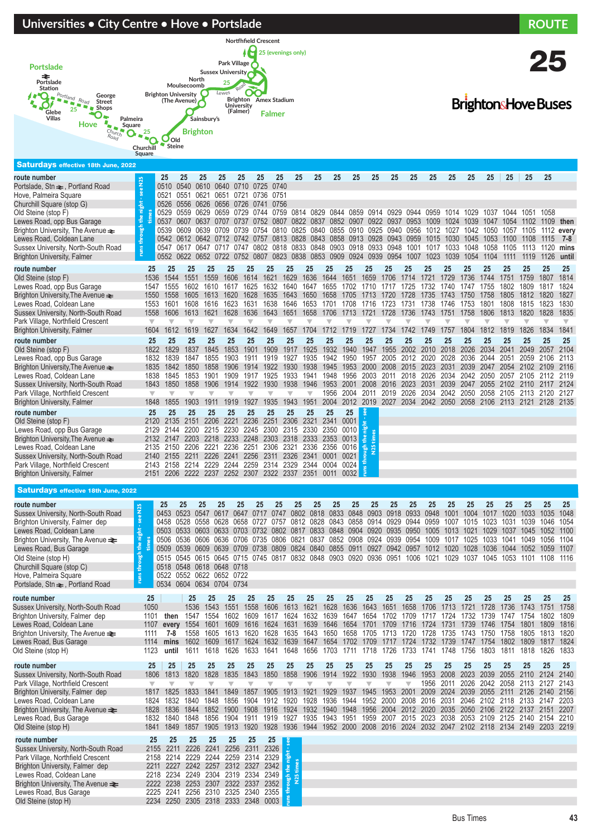